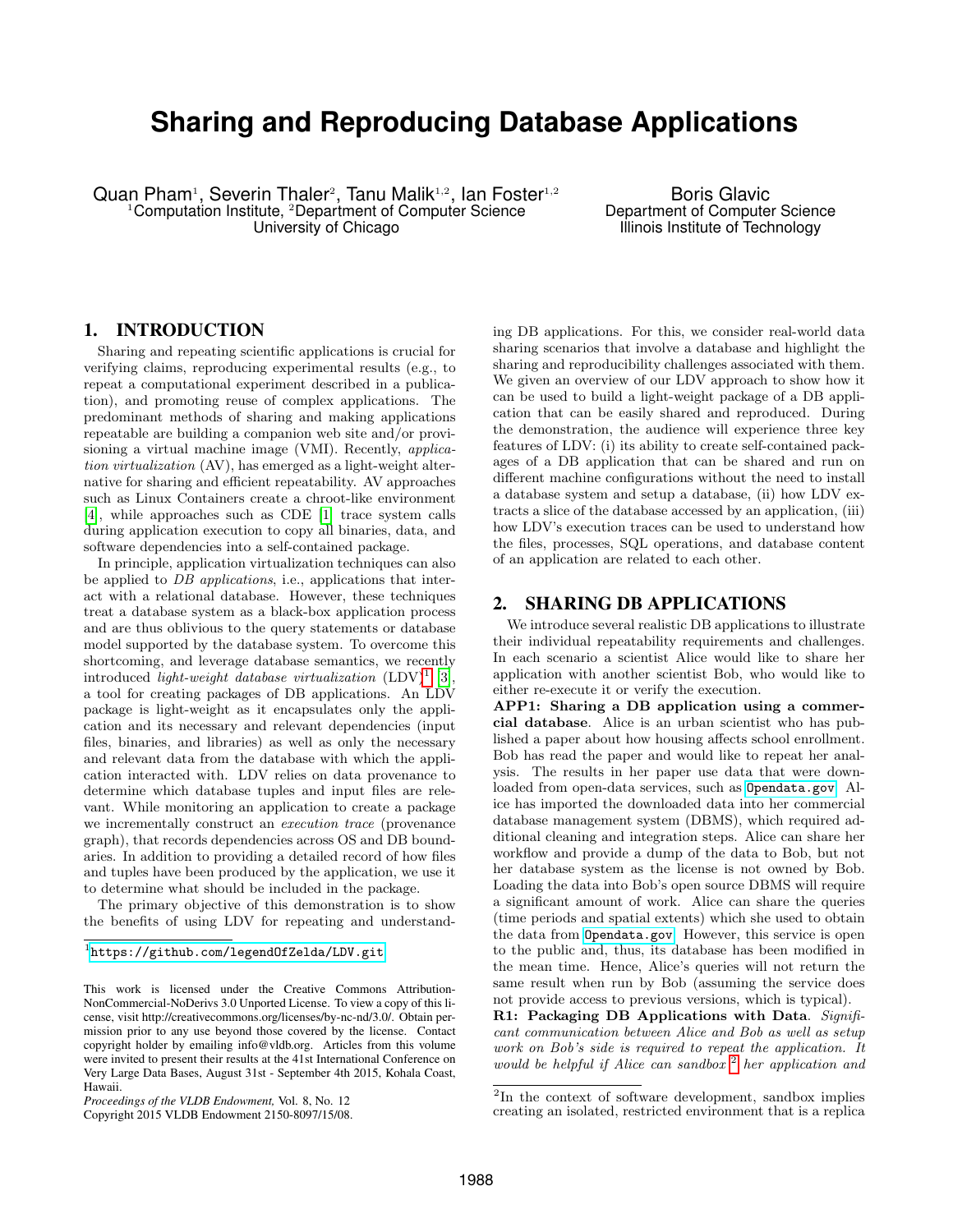# **Sharing and Reproducing Database Applications**

Quan Pham<sup>1</sup>, Severin Thaler<sup>2</sup>, Tanu Malik<sup>1,2</sup>, Ian Foster<sup>1,2</sup>  $1$ Computation Institute,  $2$ Department of Computer Science University of Chicago

Boris Glavic Department of Computer Science Illinois Institute of Technology

### 1. INTRODUCTION

Sharing and repeating scientific applications is crucial for verifying claims, reproducing experimental results (e.g., to repeat a computational experiment described in a publication), and promoting reuse of complex applications. The predominant methods of sharing and making applications repeatable are building a companion web site and/or provisioning a virtual machine image (VMI). Recently, application virtualization (AV), has emerged as a light-weight alternative for sharing and efficient repeatability. AV approaches such as Linux Containers create a chroot-like environment [\[4\]](#page-3-0), while approaches such as CDE [\[1\]](#page-3-1) trace system calls during application execution to copy all binaries, data, and software dependencies into a self-contained package.

In principle, application virtualization techniques can also be applied to *DB applications*, i.e., applications that interact with a relational database. However, these techniques treat a database system as a black-box application process and are thus oblivious to the query statements or database model supported by the database system. To overcome this shortcoming, and leverage database semantics, we recently introduced *light-weight database virtualization*  $(LDV)^1$  $(LDV)^1$  [\[3\]](#page-3-2), a tool for creating packages of DB applications. An LDV package is light-weight as it encapsulates only the application and its necessary and relevant dependencies (input files, binaries, and libraries) as well as only the necessary and relevant data from the database with which the application interacted with. LDV relies on data provenance to determine which database tuples and input files are relevant. While monitoring an application to create a package we incrementally construct an execution trace (provenance graph), that records dependencies across OS and DB boundaries. In addition to providing a detailed record of how files and tuples have been produced by the application, we use it to determine what should be included in the package.

The primary objective of this demonstration is to show the benefits of using LDV for repeating and understand-

Copyright 2015 VLDB Endowment 2150-8097/15/08.

ing DB applications. For this, we consider real-world data sharing scenarios that involve a database and highlight the sharing and reproducibility challenges associated with them. We given an overview of our LDV approach to show how it can be used to build a light-weight package of a DB application that can be easily shared and reproduced. During the demonstration, the audience will experience three key features of LDV: (i) its ability to create self-contained packages of a DB application that can be shared and run on different machine configurations without the need to install a database system and setup a database, (ii) how LDV extracts a slice of the database accessed by an application, (iii) how LDV's execution traces can be used to understand how the files, processes, SQL operations, and database content of an application are related to each other.

### 2. SHARING DB APPLICATIONS

We introduce several realistic DB applications to illustrate their individual repeatability requirements and challenges. In each scenario a scientist Alice would like to share her application with another scientist Bob, who would like to either re-execute it or verify the execution.

APP1: Sharing a DB application using a commercial database. Alice is an urban scientist who has published a paper about how housing affects school enrollment. Bob has read the paper and would like to repeat her analysis. The results in her paper use data that were downloaded from open-data services, such as <Opendata.gov>. Alice has imported the downloaded data into her commercial database management system (DBMS), which required additional cleaning and integration steps. Alice can share her workflow and provide a dump of the data to Bob, but not her database system as the license is not owned by Bob. Loading the data into Bob's open source DBMS will require a significant amount of work. Alice can share the queries (time periods and spatial extents) which she used to obtain the data from <Opendata.gov>. However, this service is open to the public and, thus, its database has been modified in the mean time. Hence, Alice's queries will not return the same result when run by Bob (assuming the service does not provide access to previous versions, which is typical).

R1: Packaging DB Applications with Data. Significant communication between Alice and Bob as well as setup work on Bob's side is required to repeat the application. It would be helpful if Alice can sandbox  $2$  her application and

<span id="page-0-0"></span><sup>1</sup> <https://github.com/legendOfZelda/LDV.git>

This work is licensed under the Creative Commons Attribution-NonCommercial-NoDerivs 3.0 Unported License. To view a copy of this license, visit http://creativecommons.org/licenses/by-nc-nd/3.0/. Obtain permission prior to any use beyond those covered by the license. Contact copyright holder by emailing info@vldb.org. Articles from this volume were invited to present their results at the 41st International Conference on Very Large Data Bases, August 31st - September 4th 2015, Kohala Coast, Hawaii.

*Proceedings of the VLDB Endowment,* Vol. 8, No. 12

<span id="page-0-1"></span><sup>&</sup>lt;sup>2</sup>In the context of software development, sandbox implies creating an isolated, restricted environment that is a replica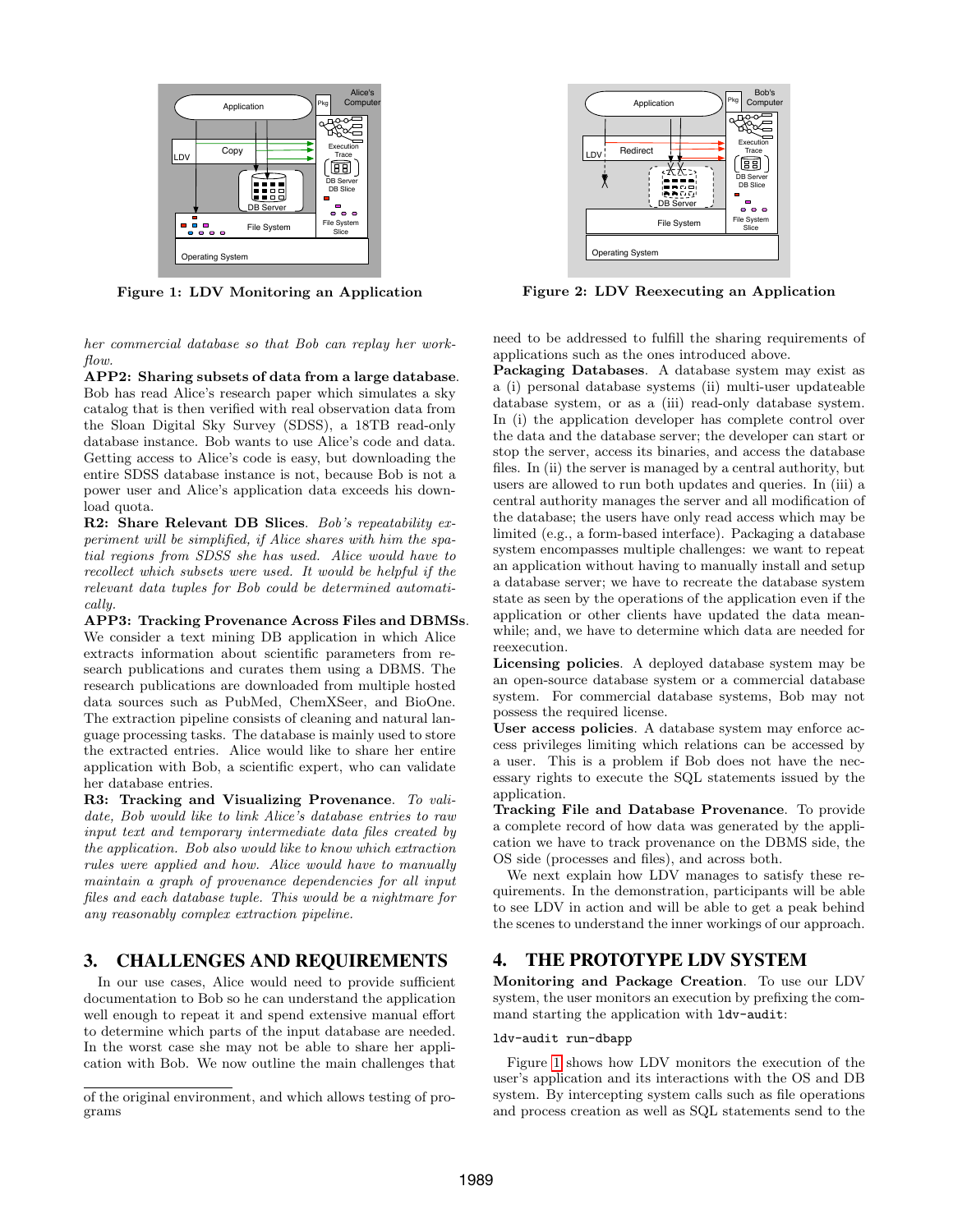

<span id="page-1-0"></span>Figure 1: LDV Monitoring an Application

her commercial database so that Bob can replay her workflow.

APP2: Sharing subsets of data from a large database. Bob has read Alice's research paper which simulates a sky catalog that is then verified with real observation data from the Sloan Digital Sky Survey (SDSS), a 18TB read-only database instance. Bob wants to use Alice's code and data. Getting access to Alice's code is easy, but downloading the entire SDSS database instance is not, because Bob is not a power user and Alice's application data exceeds his download quota.

R2: Share Relevant DB Slices. Bob's repeatability experiment will be simplified, if Alice shares with him the spatial regions from SDSS she has used. Alice would have to recollect which subsets were used. It would be helpful if the relevant data tuples for Bob could be determined automatically.

APP3: Tracking Provenance Across Files and DBMSs. We consider a text mining DB application in which Alice extracts information about scientific parameters from research publications and curates them using a DBMS. The research publications are downloaded from multiple hosted data sources such as PubMed, ChemXSeer, and BioOne. The extraction pipeline consists of cleaning and natural language processing tasks. The database is mainly used to store the extracted entries. Alice would like to share her entire application with Bob, a scientific expert, who can validate her database entries.

R3: Tracking and Visualizing Provenance. To validate, Bob would like to link Alice's database entries to raw input text and temporary intermediate data files created by the application. Bob also would like to know which extraction rules were applied and how. Alice would have to manually maintain a graph of provenance dependencies for all input files and each database tuple. This would be a nightmare for any reasonably complex extraction pipeline.

### <span id="page-1-1"></span>3. CHALLENGES AND REQUIREMENTS

In our use cases, Alice would need to provide sufficient documentation to Bob so he can understand the application well enough to repeat it and spend extensive manual effort to determine which parts of the input database are needed. In the worst case she may not be able to share her application with Bob. We now outline the main challenges that



Figure 2: LDV Reexecuting an Application

need to be addressed to fulfill the sharing requirements of applications such as the ones introduced above.

Packaging Databases. A database system may exist as a (i) personal database systems (ii) multi-user updateable database system, or as a (iii) read-only database system. In (i) the application developer has complete control over the data and the database server; the developer can start or stop the server, access its binaries, and access the database files. In (ii) the server is managed by a central authority, but users are allowed to run both updates and queries. In (iii) a central authority manages the server and all modification of the database; the users have only read access which may be limited (e.g., a form-based interface). Packaging a database system encompasses multiple challenges: we want to repeat an application without having to manually install and setup a database server; we have to recreate the database system state as seen by the operations of the application even if the application or other clients have updated the data meanwhile; and, we have to determine which data are needed for reexecution.

Licensing policies. A deployed database system may be an open-source database system or a commercial database system. For commercial database systems, Bob may not possess the required license.

User access policies. A database system may enforce access privileges limiting which relations can be accessed by a user. This is a problem if Bob does not have the necessary rights to execute the SQL statements issued by the application

Tracking File and Database Provenance. To provide a complete record of how data was generated by the application we have to track provenance on the DBMS side, the OS side (processes and files), and across both.

We next explain how LDV manages to satisfy these requirements. In the demonstration, participants will be able to see LDV in action and will be able to get a peak behind the scenes to understand the inner workings of our approach.

## 4. THE PROTOTYPE LDV SYSTEM

Monitoring and Package Creation. To use our LDV system, the user monitors an execution by prefixing the command starting the application with ldv-audit:

### ldv-audit run-dbapp

Figure [1](#page-1-0) shows how LDV monitors the execution of the user's application and its interactions with the OS and DB system. By intercepting system calls such as file operations and process creation as well as SQL statements send to the

of the original environment, and which allows testing of programs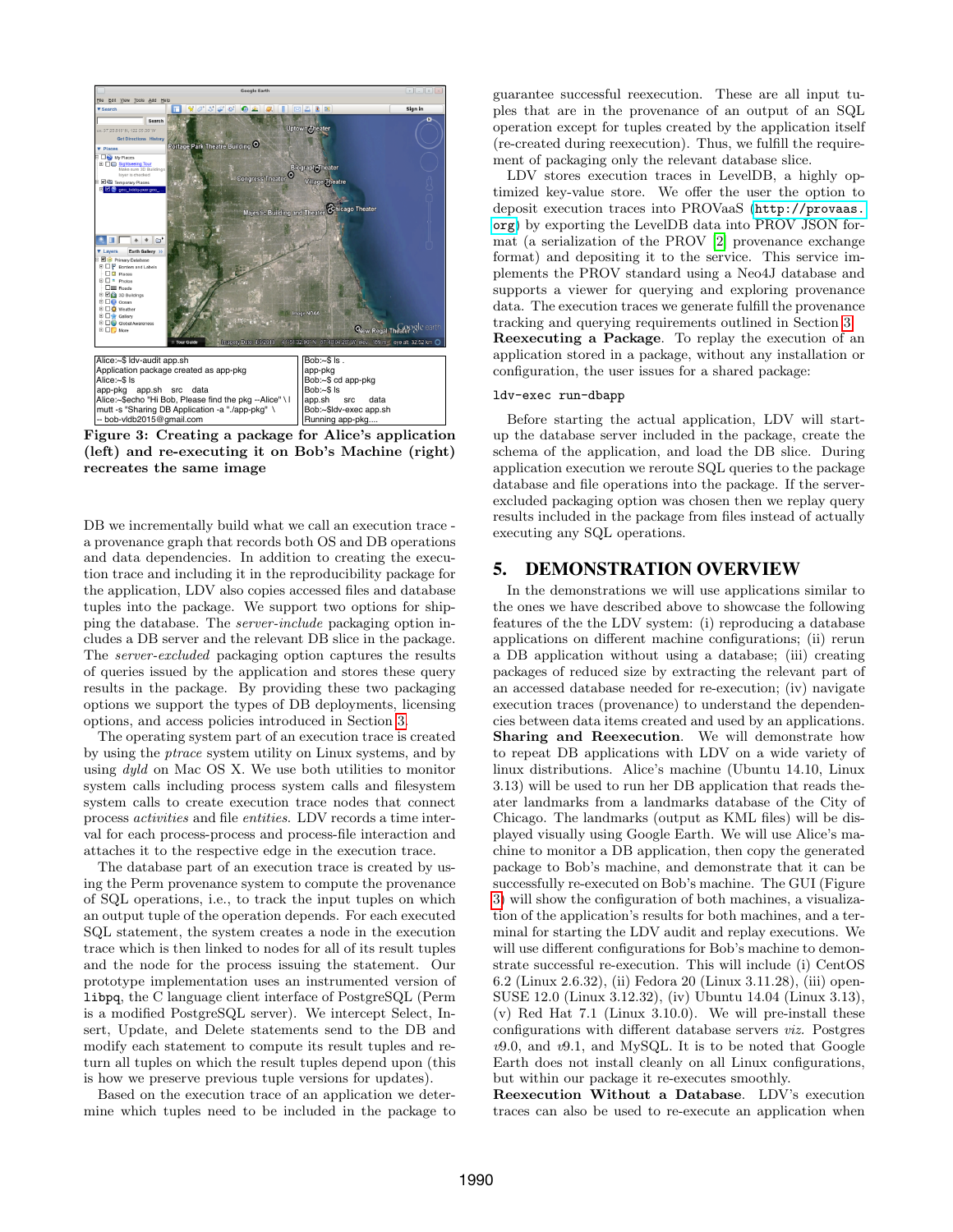

<span id="page-2-0"></span>Figure 3: Creating a package for Alice's application (left) and re-executing it on Bob's Machine (right) recreates the same image

DB we incrementally build what we call an execution trace a provenance graph that records both OS and DB operations and data dependencies. In addition to creating the execution trace and including it in the reproducibility package for the application, LDV also copies accessed files and database tuples into the package. We support two options for shipping the database. The server-include packaging option includes a DB server and the relevant DB slice in the package. The server-excluded packaging option captures the results of queries issued by the application and stores these query results in the package. By providing these two packaging options we support the types of DB deployments, licensing options, and access policies introduced in Section [3.](#page-1-1)

The operating system part of an execution trace is created by using the ptrace system utility on Linux systems, and by using dyld on Mac OS X. We use both utilities to monitor system calls including process system calls and filesystem system calls to create execution trace nodes that connect process activities and file entities. LDV records a time interval for each process-process and process-file interaction and attaches it to the respective edge in the execution trace.

The database part of an execution trace is created by using the Perm provenance system to compute the provenance of SQL operations, i.e., to track the input tuples on which an output tuple of the operation depends. For each executed SQL statement, the system creates a node in the execution trace which is then linked to nodes for all of its result tuples and the node for the process issuing the statement. Our prototype implementation uses an instrumented version of libpq, the C language client interface of PostgreSQL (Perm is a modified PostgreSQL server). We intercept Select, Insert, Update, and Delete statements send to the DB and modify each statement to compute its result tuples and return all tuples on which the result tuples depend upon (this is how we preserve previous tuple versions for updates).

Based on the execution trace of an application we determine which tuples need to be included in the package to guarantee successful reexecution. These are all input tuples that are in the provenance of an output of an SQL operation except for tuples created by the application itself (re-created during reexecution). Thus, we fulfill the requirement of packaging only the relevant database slice.

LDV stores execution traces in LevelDB, a highly optimized key-value store. We offer the user the option to deposit execution traces into PROVaaS ([http://provaas.](http://provaas.org) [org](http://provaas.org)) by exporting the LevelDB data into PROV JSON format (a serialization of the PROV [\[2\]](#page-3-3) provenance exchange format) and depositing it to the service. This service implements the PROV standard using a Neo4J database and supports a viewer for querying and exploring provenance data. The execution traces we generate fulfill the provenance tracking and querying requirements outlined in Section [3.](#page-1-1) Reexecuting a Package. To replay the execution of an application stored in a package, without any installation or configuration, the user issues for a shared package:

#### ldv-exec run-dbapp

Before starting the actual application, LDV will startup the database server included in the package, create the schema of the application, and load the DB slice. During application execution we reroute SQL queries to the package database and file operations into the package. If the serverexcluded packaging option was chosen then we replay query results included in the package from files instead of actually executing any SQL operations.

### 5. DEMONSTRATION OVERVIEW

In the demonstrations we will use applications similar to the ones we have described above to showcase the following features of the the LDV system: (i) reproducing a database applications on different machine configurations; (ii) rerun a DB application without using a database; (iii) creating packages of reduced size by extracting the relevant part of an accessed database needed for re-execution; (iv) navigate execution traces (provenance) to understand the dependencies between data items created and used by an applications. Sharing and Reexecution. We will demonstrate how to repeat DB applications with LDV on a wide variety of linux distributions. Alice's machine (Ubuntu 14.10, Linux 3.13) will be used to run her DB application that reads theater landmarks from a landmarks database of the City of Chicago. The landmarks (output as KML files) will be displayed visually using Google Earth. We will use Alice's machine to monitor a DB application, then copy the generated package to Bob's machine, and demonstrate that it can be successfully re-executed on Bob's machine. The GUI (Figure [3\)](#page-2-0) will show the configuration of both machines, a visualization of the application's results for both machines, and a terminal for starting the LDV audit and replay executions. We will use different configurations for Bob's machine to demonstrate successful re-execution. This will include (i) CentOS 6.2 (Linux 2.6.32), (ii) Fedora 20 (Linux 3.11.28), (iii) open-SUSE 12.0 (Linux 3.12.32), (iv) Ubuntu 14.04 (Linux 3.13), (v) Red Hat 7.1 (Linux 3.10.0). We will pre-install these configurations with different database servers viz. Postgres  $v9.0$ , and  $v9.1$ , and MySQL. It is to be noted that Google Earth does not install cleanly on all Linux configurations, but within our package it re-executes smoothly.

Reexecution Without a Database. LDV's execution traces can also be used to re-execute an application when